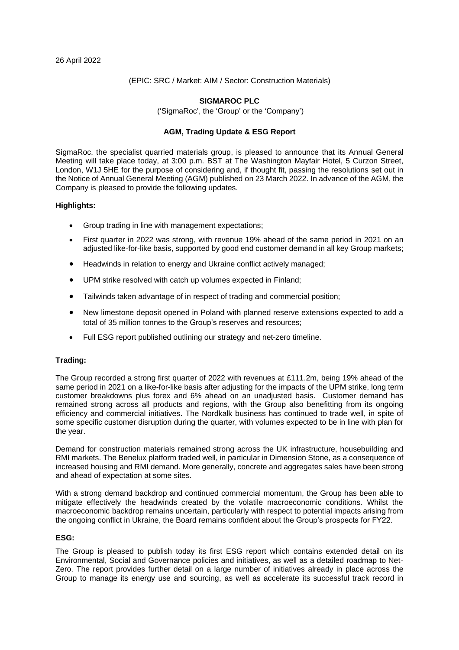(EPIC: SRC / Market: AIM / Sector: Construction Materials)

# **SIGMAROC PLC**

('SigmaRoc', the 'Group' or the 'Company')

# **AGM, Trading Update & ESG Report**

SigmaRoc, the specialist quarried materials group, is pleased to announce that its Annual General Meeting will take place today, at 3:00 p.m. BST at The Washington Mayfair Hotel, 5 Curzon Street, London, W1J 5HE for the purpose of considering and, if thought fit, passing the resolutions set out in the Notice of Annual General Meeting (AGM) published on 23 March 2022. In advance of the AGM, the Company is pleased to provide the following updates.

#### **Highlights:**

- Group trading in line with management expectations;
- First quarter in 2022 was strong, with revenue 19% ahead of the same period in 2021 on an adjusted like-for-like basis, supported by good end customer demand in all key Group markets;
- Headwinds in relation to energy and Ukraine conflict actively managed;
- UPM strike resolved with catch up volumes expected in Finland;
- Tailwinds taken advantage of in respect of trading and commercial position;
- New limestone deposit opened in Poland with planned reserve extensions expected to add a total of 35 million tonnes to the Group's reserves and resources;
- Full ESG report published outlining our strategy and net-zero timeline.

#### **Trading:**

The Group recorded a strong first quarter of 2022 with revenues at £111.2m, being 19% ahead of the same period in 2021 on a like-for-like basis after adjusting for the impacts of the UPM strike, long term customer breakdowns plus forex and 6% ahead on an unadjusted basis. Customer demand has remained strong across all products and regions, with the Group also benefitting from its ongoing efficiency and commercial initiatives. The Nordkalk business has continued to trade well, in spite of some specific customer disruption during the quarter, with volumes expected to be in line with plan for the year.

Demand for construction materials remained strong across the UK infrastructure, housebuilding and RMI markets. The Benelux platform traded well, in particular in Dimension Stone, as a consequence of increased housing and RMI demand. More generally, concrete and aggregates sales have been strong and ahead of expectation at some sites.

With a strong demand backdrop and continued commercial momentum, the Group has been able to mitigate effectively the headwinds created by the volatile macroeconomic conditions. Whilst the macroeconomic backdrop remains uncertain, particularly with respect to potential impacts arising from the ongoing conflict in Ukraine, the Board remains confident about the Group's prospects for FY22.

### **ESG:**

The Group is pleased to publish today its first ESG report which contains extended detail on its Environmental, Social and Governance policies and initiatives, as well as a detailed roadmap to Net-Zero. The report provides further detail on a large number of initiatives already in place across the Group to manage its energy use and sourcing, as well as accelerate its successful track record in